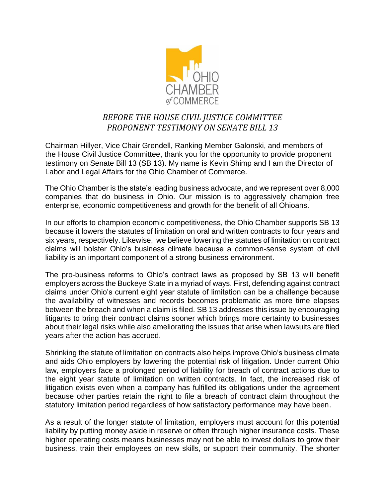

## *BEFORE THE HOUSE CIVIL JUSTICE COMMITTEE PROPONENT TESTIMONY ON SENATE BILL 13*

Chairman Hillyer, Vice Chair Grendell, Ranking Member Galonski, and members of the House Civil Justice Committee, thank you for the opportunity to provide proponent testimony on Senate Bill 13 (SB 13). My name is Kevin Shimp and I am the Director of Labor and Legal Affairs for the Ohio Chamber of Commerce.

The Ohio Chamber is the state's leading business advocate, and we represent over 8,000 companies that do business in Ohio. Our mission is to aggressively champion free enterprise, economic competitiveness and growth for the benefit of all Ohioans.

In our efforts to champion economic competitiveness, the Ohio Chamber supports SB 13 because it lowers the statutes of limitation on oral and written contracts to four years and six years, respectively. Likewise, we believe lowering the statutes of limitation on contract claims will bolster Ohio's business climate because a common-sense system of civil liability is an important component of a strong business environment.

The pro-business reforms to Ohio's contract laws as proposed by SB 13 will benefit employers across the Buckeye State in a myriad of ways. First, defending against contract claims under Ohio's current eight year statute of limitation can be a challenge because the availability of witnesses and records becomes problematic as more time elapses between the breach and when a claim is filed. SB 13 addresses this issue by encouraging litigants to bring their contract claims sooner which brings more certainty to businesses about their legal risks while also ameliorating the issues that arise when lawsuits are filed years after the action has accrued.

Shrinking the statute of limitation on contracts also helps improve Ohio's business climate and aids Ohio employers by lowering the potential risk of litigation. Under current Ohio law, employers face a prolonged period of liability for breach of contract actions due to the eight year statute of limitation on written contracts. In fact, the increased risk of litigation exists even when a company has fulfilled its obligations under the agreement because other parties retain the right to file a breach of contract claim throughout the statutory limitation period regardless of how satisfactory performance may have been.

As a result of the longer statute of limitation, employers must account for this potential liability by putting money aside in reserve or often through higher insurance costs. These higher operating costs means businesses may not be able to invest dollars to grow their business, train their employees on new skills, or support their community. The shorter